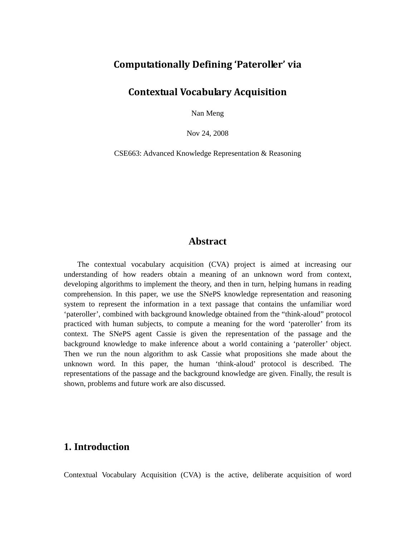# **Computationally Defining 'Pateroller' via**

## **Contextual Vocabulary Acquisition**

Nan Meng

Nov 24, 2008

CSE663: Advanced Knowledge Representation & Reasoning

## **Abstract**

The contextual vocabulary acquisition (CVA) project is aimed at increasing our understanding of how readers obtain a meaning of an unknown word from context, developing algorithms to implement the theory, and then in turn, helping humans in reading comprehension. In this paper, we use the SNePS knowledge representation and reasoning system to represent the information in a text passage that contains the unfamiliar word 'pateroller', combined with background knowledge obtained from the "think-aloud" protocol practiced with human subjects, to compute a meaning for the word 'pateroller' from its context. The SNePS agent Cassie is given the representation of the passage and the background knowledge to make inference about a world containing a 'pateroller' object. Then we run the noun algorithm to ask Cassie what propositions she made about the unknown word. In this paper, the human 'think-aloud' protocol is described. The representations of the passage and the background knowledge are given. Finally, the result is shown, problems and future work are also discussed.

# **1. Introduction**

Contextual Vocabulary Acquisition (CVA) is the active, deliberate acquisition of word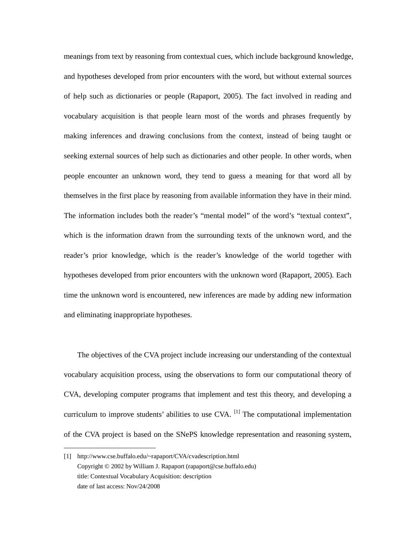meanings from text by reasoning from contextual cues, which include background knowledge, and hypotheses developed from prior encounters with the word, but without external sources of help such as dictionaries or people (Rapaport, 2005). The fact involved in reading and vocabulary acquisition is that people learn most of the words and phrases frequently by making inferences and drawing conclusions from the context, instead of being taught or seeking external sources of help such as dictionaries and other people. In other words, when people encounter an unknown word, they tend to guess a meaning for that word all by themselves in the first place by reasoning from available information they have in their mind. The information includes both the reader's "mental model" of the word's "textual context", which is the information drawn from the surrounding texts of the unknown word, and the reader's prior knowledge, which is the reader's knowledge of the world together with hypotheses developed from prior encounters with the unknown word (Rapaport, 2005). Each time the unknown word is encountered, new inferences are made by adding new information and eliminating inappropriate hypotheses.

The objectives of the CVA project include increasing our understanding of the contextual vocabulary acquisition process, using the observations to form our computational theory of CVA, developing computer programs that implement and test this theory, and developing a curriculum to improve students' abilities to use  $CVA$ . <sup>[1]</sup> The computational implementation of the CVA project is based on the SNePS knowledge representation and reasoning system,

l

<sup>[1]</sup> http://www.cse.buffalo.edu/~rapaport/CVA/cvadescription.html Copyright © 2002 by William J. Rapaport (rapaport@cse.buffalo.edu) title: Contextual Vocabulary Acquisition: description date of last access: Nov/24/2008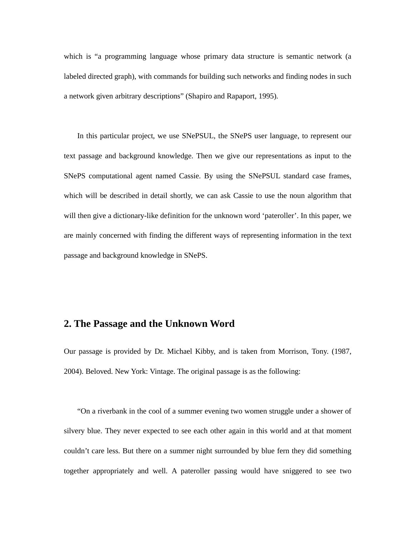which is "a programming language whose primary data structure is semantic network (a labeled directed graph), with commands for building such networks and finding nodes in such a network given arbitrary descriptions" (Shapiro and Rapaport, 1995).

In this particular project, we use SNePSUL, the SNePS user language, to represent our text passage and background knowledge. Then we give our representations as input to the SNePS computational agent named Cassie. By using the SNePSUL standard case frames, which will be described in detail shortly, we can ask Cassie to use the noun algorithm that will then give a dictionary-like definition for the unknown word 'pateroller'. In this paper, we are mainly concerned with finding the different ways of representing information in the text passage and background knowledge in SNePS.

## **2. The Passage and the Unknown Word**

Our passage is provided by Dr. Michael Kibby, and is taken from Morrison, Tony. (1987, 2004). Beloved. New York: Vintage. The original passage is as the following:

"On a riverbank in the cool of a summer evening two women struggle under a shower of silvery blue. They never expected to see each other again in this world and at that moment couldn't care less. But there on a summer night surrounded by blue fern they did something together appropriately and well. A pateroller passing would have sniggered to see two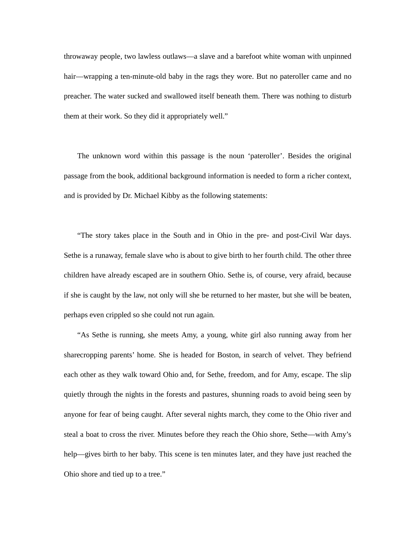throwaway people, two lawless outlaws—a slave and a barefoot white woman with unpinned hair—wrapping a ten-minute-old baby in the rags they wore. But no pateroller came and no preacher. The water sucked and swallowed itself beneath them. There was nothing to disturb them at their work. So they did it appropriately well."

The unknown word within this passage is the noun 'pateroller'. Besides the original passage from the book, additional background information is needed to form a richer context, and is provided by Dr. Michael Kibby as the following statements:

"The story takes place in the South and in Ohio in the pre- and post-Civil War days. Sethe is a runaway, female slave who is about to give birth to her fourth child. The other three children have already escaped are in southern Ohio. Sethe is, of course, very afraid, because if she is caught by the law, not only will she be returned to her master, but she will be beaten, perhaps even crippled so she could not run again.

"As Sethe is running, she meets Amy, a young, white girl also running away from her sharecropping parents' home. She is headed for Boston, in search of velvet. They befriend each other as they walk toward Ohio and, for Sethe, freedom, and for Amy, escape. The slip quietly through the nights in the forests and pastures, shunning roads to avoid being seen by anyone for fear of being caught. After several nights march, they come to the Ohio river and steal a boat to cross the river. Minutes before they reach the Ohio shore, Sethe—with Amy's help—gives birth to her baby. This scene is ten minutes later, and they have just reached the Ohio shore and tied up to a tree."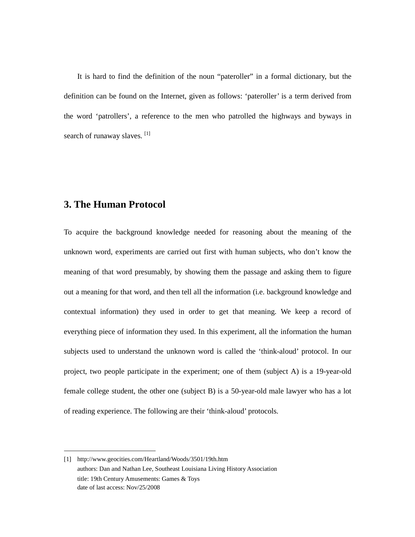It is hard to find the definition of the noun "pateroller" in a formal dictionary, but the definition can be found on the Internet, given as follows: 'pateroller' is a term derived from the word 'patrollers', a reference to the men who patrolled the highways and byways in search of runaway slaves.<sup>[1]</sup>

# **3. The Human Protocol**

-

To acquire the background knowledge needed for reasoning about the meaning of the unknown word, experiments are carried out first with human subjects, who don't know the meaning of that word presumably, by showing them the passage and asking them to figure out a meaning for that word, and then tell all the information (i.e. background knowledge and contextual information) they used in order to get that meaning. We keep a record of everything piece of information they used. In this experiment, all the information the human subjects used to understand the unknown word is called the 'think-aloud' protocol. In our project, two people participate in the experiment; one of them (subject A) is a 19-year-old female college student, the other one (subject B) is a 50-year-old male lawyer who has a lot of reading experience. The following are their 'think-aloud' protocols.

<sup>[1]</sup> http://www.geocities.com/Heartland/Woods/3501/19th.htm authors: Dan and Nathan Lee, Southeast Louisiana Living History Association title: 19th Century Amusements: Games & Toys date of last access: Nov/25/2008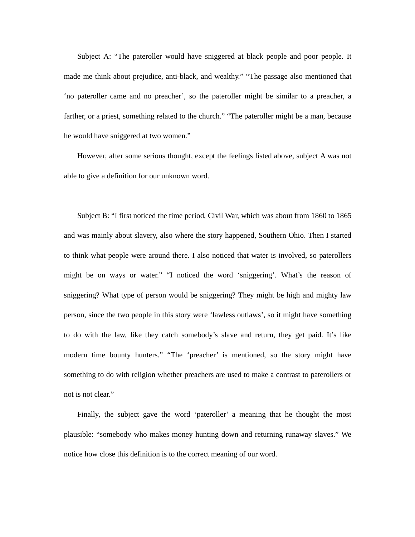Subject A: "The pateroller would have sniggered at black people and poor people. It made me think about prejudice, anti-black, and wealthy." "The passage also mentioned that 'no pateroller came and no preacher', so the pateroller might be similar to a preacher, a farther, or a priest, something related to the church." "The pateroller might be a man, because he would have sniggered at two women."

However, after some serious thought, except the feelings listed above, subject A was not able to give a definition for our unknown word.

Subject B: "I first noticed the time period, Civil War, which was about from 1860 to 1865 and was mainly about slavery, also where the story happened, Southern Ohio. Then I started to think what people were around there. I also noticed that water is involved, so paterollers might be on ways or water." "I noticed the word 'sniggering'. What's the reason of sniggering? What type of person would be sniggering? They might be high and mighty law person, since the two people in this story were 'lawless outlaws', so it might have something to do with the law, like they catch somebody's slave and return, they get paid. It's like modern time bounty hunters." "The 'preacher' is mentioned, so the story might have something to do with religion whether preachers are used to make a contrast to paterollers or not is not clear."

Finally, the subject gave the word 'pateroller' a meaning that he thought the most plausible: "somebody who makes money hunting down and returning runaway slaves." We notice how close this definition is to the correct meaning of our word.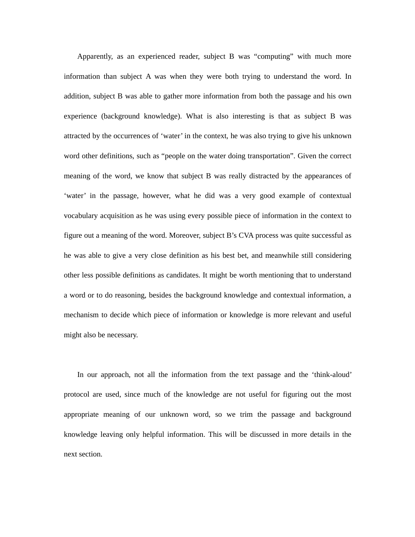Apparently, as an experienced reader, subject B was "computing" with much more information than subject A was when they were both trying to understand the word. In addition, subject B was able to gather more information from both the passage and his own experience (background knowledge). What is also interesting is that as subject B was attracted by the occurrences of 'water' in the context, he was also trying to give his unknown word other definitions, such as "people on the water doing transportation". Given the correct meaning of the word, we know that subject B was really distracted by the appearances of 'water' in the passage, however, what he did was a very good example of contextual vocabulary acquisition as he was using every possible piece of information in the context to figure out a meaning of the word. Moreover, subject B's CVA process was quite successful as he was able to give a very close definition as his best bet, and meanwhile still considering other less possible definitions as candidates. It might be worth mentioning that to understand a word or to do reasoning, besides the background knowledge and contextual information, a mechanism to decide which piece of information or knowledge is more relevant and useful might also be necessary.

In our approach, not all the information from the text passage and the 'think-aloud' protocol are used, since much of the knowledge are not useful for figuring out the most appropriate meaning of our unknown word, so we trim the passage and background knowledge leaving only helpful information. This will be discussed in more details in the next section.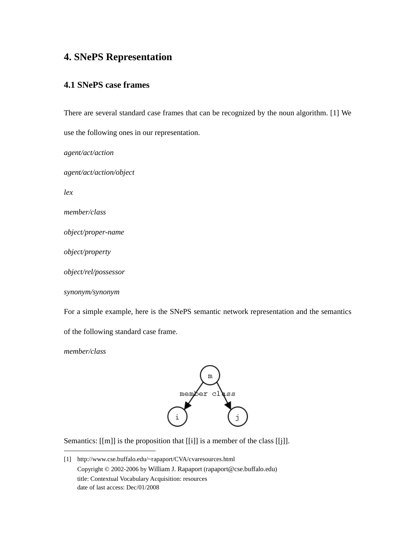# **4. SNePS Representation**

#### **4.1 SNePS case frames**

There are several standard case frames that can be recognized by the noun algorithm. [1] We

use the following ones in our representation.

*agent/act/action agent/act/action/object lex member/class object/proper-name object/property object/rel/possessor synonym/synonym* 

For a simple example, here is the SNePS semantic network representation and the semantics

of the following standard case frame.

*member/class* 

-



Semantics: [[m]] is the proposition that [[i]] is a member of the class [[j]].

<sup>[1]</sup> http://www.cse.buffalo.edu/~rapaport/CVA/cvaresources.html Copyright © 2002-2006 by William J. Rapaport (rapaport@cse.buffalo.edu) title: Contextual Vocabulary Acquisition: resources date of last access: Dec/01/2008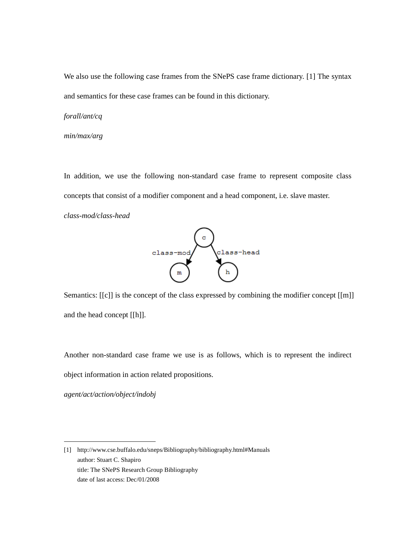We also use the following case frames from the SNePS case frame dictionary. [1] The syntax and semantics for these case frames can be found in this dictionary.

#### *forall/ant/cq*

#### *min/max/arg*

In addition, we use the following non-standard case frame to represent composite class concepts that consist of a modifier component and a head component, i.e. slave master.

*class-mod/class-head* 



Semantics: [[c]] is the concept of the class expressed by combining the modifier concept [[m]] and the head concept [[h]].

Another non-standard case frame we use is as follows, which is to represent the indirect object information in action related propositions.

*agent/act/action/object/indobj* 

j

<sup>[1]</sup> http://www.cse.buffalo.edu/sneps/Bibliography/bibliography.html#Manuals author: Stuart C. Shapiro title: The SNePS Research Group Bibliography date of last access: Dec/01/2008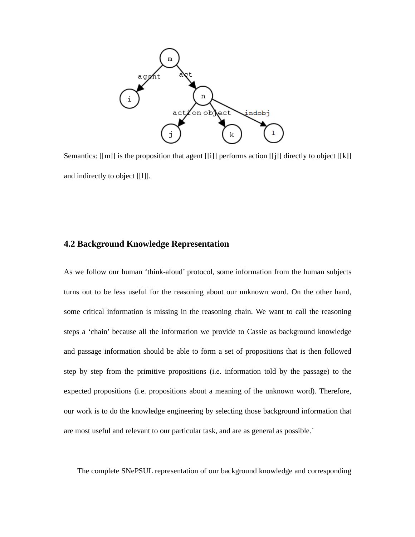

Semantics: [[m]] is the proposition that agent [[i]] performs action [[j]] directly to object [[k]] and indirectly to object [[l]].

#### **4.2 Background Knowledge Representation**

As we follow our human 'think-aloud' protocol, some information from the human subjects turns out to be less useful for the reasoning about our unknown word. On the other hand, some critical information is missing in the reasoning chain. We want to call the reasoning steps a 'chain' because all the information we provide to Cassie as background knowledge and passage information should be able to form a set of propositions that is then followed step by step from the primitive propositions (i.e. information told by the passage) to the expected propositions (i.e. propositions about a meaning of the unknown word). Therefore, our work is to do the knowledge engineering by selecting those background information that are most useful and relevant to our particular task, and are as general as possible.`

The complete SNePSUL representation of our background knowledge and corresponding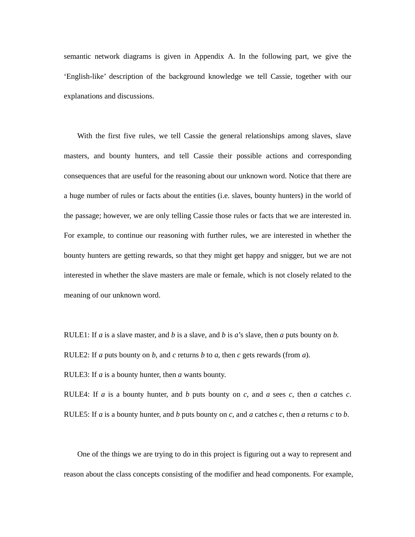semantic network diagrams is given in Appendix A. In the following part, we give the 'English-like' description of the background knowledge we tell Cassie, together with our explanations and discussions.

With the first five rules, we tell Cassie the general relationships among slaves, slave masters, and bounty hunters, and tell Cassie their possible actions and corresponding consequences that are useful for the reasoning about our unknown word. Notice that there are a huge number of rules or facts about the entities (i.e. slaves, bounty hunters) in the world of the passage; however, we are only telling Cassie those rules or facts that we are interested in. For example, to continue our reasoning with further rules, we are interested in whether the bounty hunters are getting rewards, so that they might get happy and snigger, but we are not interested in whether the slave masters are male or female, which is not closely related to the meaning of our unknown word.

RULE1: If *a* is a slave master, and *b* is a slave, and *b* is *a*'s slave, then *a* puts bounty on *b*.

RULE2: If *a* puts bounty on *b*, and *c* returns *b* to *a*, then *c* gets rewards (from *a*).

RULE3: If *a* is a bounty hunter, then *a* wants bounty.

RULE4: If *a* is a bounty hunter, and *b* puts bounty on *c*, and *a* sees *c*, then *a* catches *c*.

RULE5: If *a* is a bounty hunter, and *b* puts bounty on *c*, and *a* catches *c*, then *a* returns *c* to *b*.

 One of the things we are trying to do in this project is figuring out a way to represent and reason about the class concepts consisting of the modifier and head components. For example,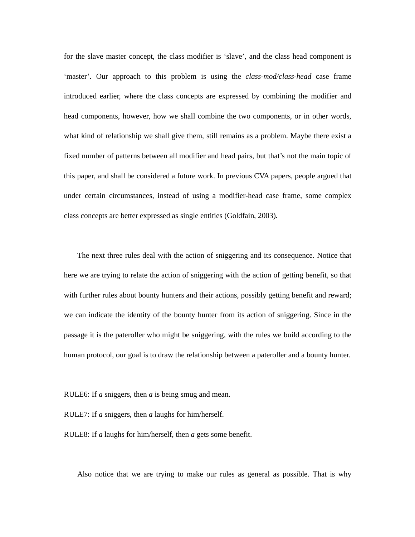for the slave master concept, the class modifier is 'slave', and the class head component is 'master'. Our approach to this problem is using the *class-mod/class-head* case frame introduced earlier, where the class concepts are expressed by combining the modifier and head components, however, how we shall combine the two components, or in other words, what kind of relationship we shall give them, still remains as a problem. Maybe there exist a fixed number of patterns between all modifier and head pairs, but that's not the main topic of this paper, and shall be considered a future work. In previous CVA papers, people argued that under certain circumstances, instead of using a modifier-head case frame, some complex class concepts are better expressed as single entities (Goldfain, 2003).

 The next three rules deal with the action of sniggering and its consequence. Notice that here we are trying to relate the action of sniggering with the action of getting benefit, so that with further rules about bounty hunters and their actions, possibly getting benefit and reward; we can indicate the identity of the bounty hunter from its action of sniggering. Since in the passage it is the pateroller who might be sniggering, with the rules we build according to the human protocol, our goal is to draw the relationship between a pateroller and a bounty hunter.

RULE6: If *a* sniggers, then *a* is being smug and mean.

RULE7: If *a* sniggers, then *a* laughs for him/herself.

RULE8: If *a* laughs for him/herself, then *a* gets some benefit.

Also notice that we are trying to make our rules as general as possible. That is why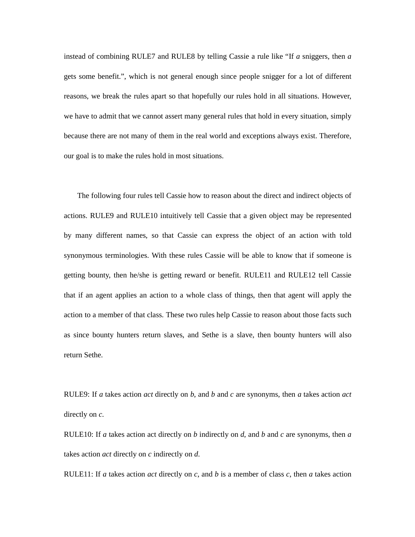instead of combining RULE7 and RULE8 by telling Cassie a rule like "If *a* sniggers, then *a* gets some benefit.", which is not general enough since people snigger for a lot of different reasons, we break the rules apart so that hopefully our rules hold in all situations. However, we have to admit that we cannot assert many general rules that hold in every situation, simply because there are not many of them in the real world and exceptions always exist. Therefore, our goal is to make the rules hold in most situations.

 The following four rules tell Cassie how to reason about the direct and indirect objects of actions. RULE9 and RULE10 intuitively tell Cassie that a given object may be represented by many different names, so that Cassie can express the object of an action with told synonymous terminologies. With these rules Cassie will be able to know that if someone is getting bounty, then he/she is getting reward or benefit. RULE11 and RULE12 tell Cassie that if an agent applies an action to a whole class of things, then that agent will apply the action to a member of that class. These two rules help Cassie to reason about those facts such as since bounty hunters return slaves, and Sethe is a slave, then bounty hunters will also return Sethe.

RULE9: If *a* takes action *act* directly on *b*, and *b* and *c* are synonyms, then *a* takes action *act* directly on *c*.

RULE10: If *a* takes action act directly on *b* indirectly on *d*, and *b* and *c* are synonyms, then *a* takes action *act* directly on *c* indirectly on *d*.

RULE11: If *a* takes action *act* directly on *c*, and *b* is a member of class *c*, then *a* takes action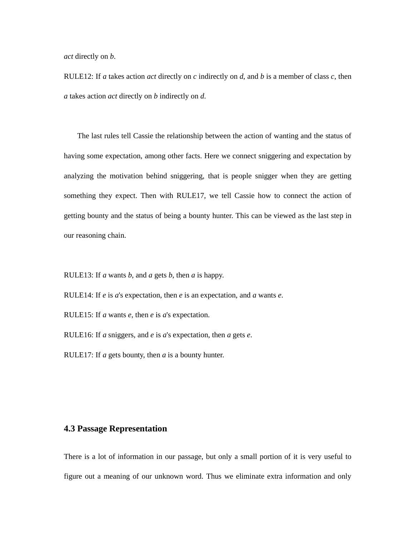*act* directly on *b*.

RULE12: If *a* takes action *act* directly on *c* indirectly on *d*, and *b* is a member of class *c*, then *a* takes action *act* directly on *b* indirectly on *d*.

 The last rules tell Cassie the relationship between the action of wanting and the status of having some expectation, among other facts. Here we connect sniggering and expectation by analyzing the motivation behind sniggering, that is people snigger when they are getting something they expect. Then with RULE17, we tell Cassie how to connect the action of getting bounty and the status of being a bounty hunter. This can be viewed as the last step in our reasoning chain.

RULE13: If *a* wants *b*, and *a* gets *b*, then *a* is happy.

RULE14: If *e* is *a*'s expectation, then *e* is an expectation, and *a* wants *e*.

RULE15: If *a* wants *e*, then *e* is *a*'s expectation.

RULE16: If *a* sniggers, and *e* is *a*'s expectation, then *a* gets *e*.

RULE17: If *a* gets bounty, then *a* is a bounty hunter.

#### **4.3 Passage Representation**

There is a lot of information in our passage, but only a small portion of it is very useful to figure out a meaning of our unknown word. Thus we eliminate extra information and only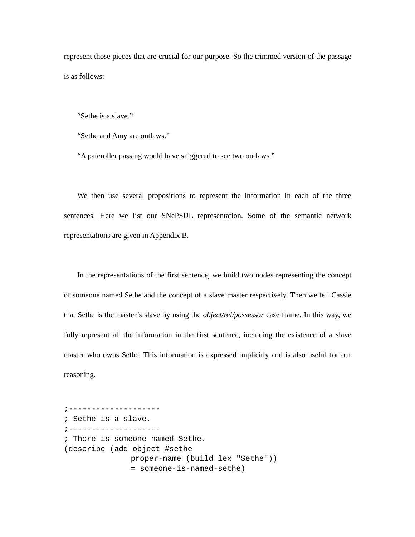represent those pieces that are crucial for our purpose. So the trimmed version of the passage is as follows:

"Sethe is a slave."

"Sethe and Amy are outlaws."

"A pateroller passing would have sniggered to see two outlaws."

We then use several propositions to represent the information in each of the three sentences. Here we list our SNePSUL representation. Some of the semantic network representations are given in Appendix B.

In the representations of the first sentence, we build two nodes representing the concept of someone named Sethe and the concept of a slave master respectively. Then we tell Cassie that Sethe is the master's slave by using the *object/rel/possessor* case frame. In this way, we fully represent all the information in the first sentence, including the existence of a slave master who owns Sethe. This information is expressed implicitly and is also useful for our reasoning.

;-------------------- ; Sethe is a slave. ;-------------------- ; There is someone named Sethe. (describe (add object #sethe proper-name (build lex "Sethe")) = someone-is-named-sethe)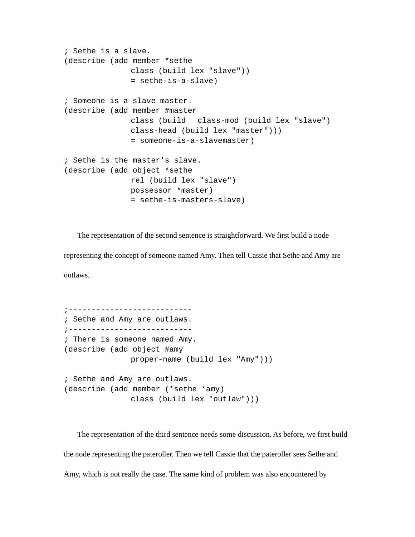```
; Sethe is a slave. 
(describe (add member *sethe 
               class (build lex "slave")) 
               = sethe-is-a-slave) 
; Someone is a slave master. 
(describe (add member #master 
                class (build class-mod (build lex "slave") 
                class-head (build lex "master"))) 
               = someone-is-a-slavemaster) 
; Sethe is the master's slave. 
(describe (add object *sethe 
               rel (build lex "slave") 
               possessor *master) 
               = sethe-is-masters-slave)
```
The representation of the second sentence is straightforward. We first build a node

representing the concept of someone named Amy. Then tell Cassie that Sethe and Amy are outlaws.

;--------------------------- ; Sethe and Amy are outlaws. ;--------------------------- ; There is someone named Amy. (describe (add object #amy proper-name (build lex "Amy"))) ; Sethe and Amy are outlaws. (describe (add member (\*sethe \*amy) class (build lex "outlaw")))

The representation of the third sentence needs some discussion. As before, we first build the node representing the pateroller. Then we tell Cassie that the pateroller sees Sethe and Amy, which is not really the case. The same kind of problem was also encountered by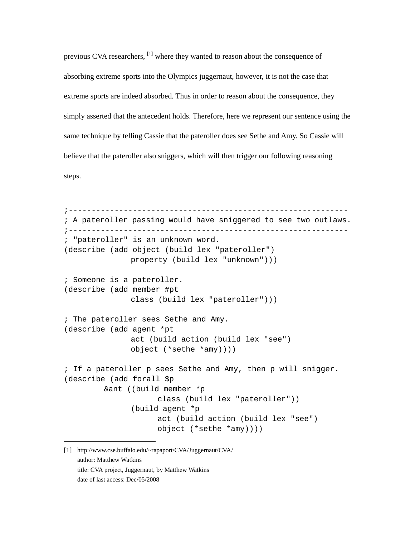previous CVA researchers, <sup>[1]</sup> where they wanted to reason about the consequence of absorbing extreme sports into the Olympics juggernaut, however, it is not the case that extreme sports are indeed absorbed. Thus in order to reason about the consequence, they simply asserted that the antecedent holds. Therefore, here we represent our sentence using the same technique by telling Cassie that the pateroller does see Sethe and Amy. So Cassie will believe that the pateroller also sniggers, which will then trigger our following reasoning steps.

```
;------------------------------------------------------------- 
; A pateroller passing would have sniggered to see two outlaws. 
;------------------------------------------------------------- 
; "pateroller" is an unknown word. 
(describe (add object (build lex "pateroller") 
               property (build lex "unknown"))) 
; Someone is a pateroller. 
(describe (add member #pt 
               class (build lex "pateroller"))) 
; The pateroller sees Sethe and Amy. 
(describe (add agent *pt 
                act (build action (build lex "see") 
                object (*sethe *amy)))) 
; If a pateroller p sees Sethe and Amy, then p will snigger. 
(describe (add forall $p 
          &ant ((build member *p 
                     class (build lex "pateroller")) 
                (build agent *p 
                      act (build action (build lex "see") 
                      object (*sethe *amy))))
```
[1] http://www.cse.buffalo.edu/~rapaport/CVA/Juggernaut/CVA/ author: Matthew Watkins title: CVA project, Juggernaut, by Matthew Watkins date of last access: Dec/05/2008

j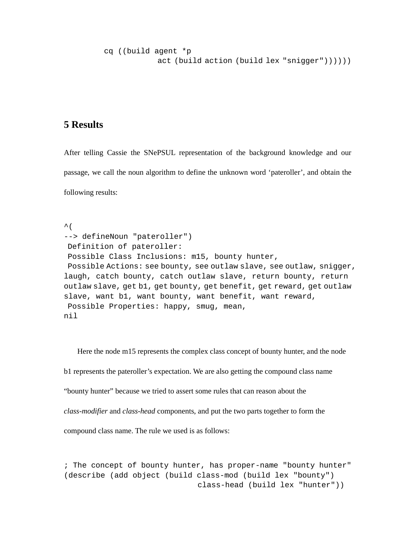```
 cq ((build agent *p 
             act (build action (build lex "snigger"))))))
```
# **5 Results**

After telling Cassie the SNePSUL representation of the background knowledge and our passage, we call the noun algorithm to define the unknown word 'pateroller', and obtain the following results:

 $\sim$  ( --> defineNoun "pateroller") Definition of pateroller: Possible Class Inclusions: m15, bounty hunter, Possible Actions: see bounty, see outlaw slave, see outlaw, snigger, laugh, catch bounty, catch outlaw slave, return bounty, return outlaw slave, get b1, get bounty, get benefit, get reward, get outlaw slave, want b1, want bounty, want benefit, want reward, Possible Properties: happy, smug, mean, nil

Here the node m15 represents the complex class concept of bounty hunter, and the node b1 represents the pateroller's expectation. We are also getting the compound class name "bounty hunter" because we tried to assert some rules that can reason about the *class-modifier* and *class-head* components, and put the two parts together to form the compound class name. The rule we used is as follows:

; The concept of bounty hunter, has proper-name "bounty hunter" (describe (add object (build class-mod (build lex "bounty") class-head (build lex "hunter"))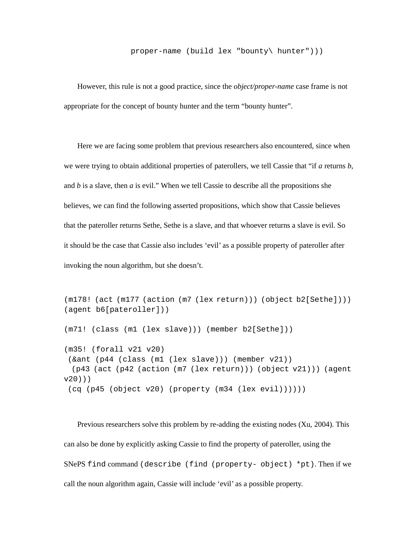#### proper-name (build lex "bounty\ hunter")))

However, this rule is not a good practice, since the *object/proper-name* case frame is not appropriate for the concept of bounty hunter and the term "bounty hunter".

Here we are facing some problem that previous researchers also encountered, since when we were trying to obtain additional properties of paterollers, we tell Cassie that "if *a* returns *b*, and *b* is a slave, then *a* is evil." When we tell Cassie to describe all the propositions she believes, we can find the following asserted propositions, which show that Cassie believes that the pateroller returns Sethe, Sethe is a slave, and that whoever returns a slave is evil. So it should be the case that Cassie also includes 'evil' as a possible property of pateroller after invoking the noun algorithm, but she doesn't.

```
(m178! (act (m177 (action (m7 (lex return))) (object b2[Sethe]))) 
(agent b6[pateroller])) 
(m71! (class (m1 (lex slave))) (member b2[Sethe])) 
(m35! (forall v21 v20) 
 (&ant (p44 (class (m1 (lex slave))) (member v21)) 
  (p43 (act (p42 (action (m7 (lex return))) (object v21))) (agent 
v20))) 
  (cq (p45 (object v20) (property (m34 (lex evil))))))
```
Previous researchers solve this problem by re-adding the existing nodes (Xu, 2004). This can also be done by explicitly asking Cassie to find the property of pateroller, using the SNePS find command (describe (find (property- object) \*pt). Then if we call the noun algorithm again, Cassie will include 'evil' as a possible property.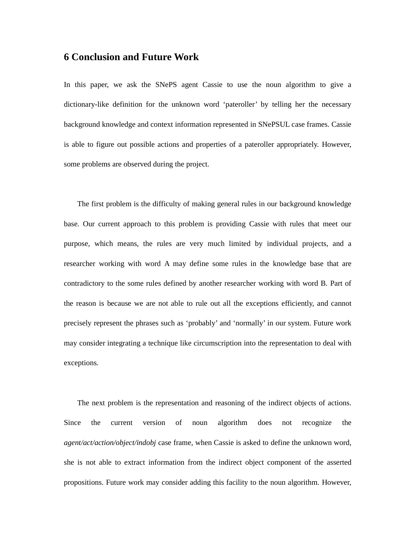## **6 Conclusion and Future Work**

In this paper, we ask the SNePS agent Cassie to use the noun algorithm to give a dictionary-like definition for the unknown word 'pateroller' by telling her the necessary background knowledge and context information represented in SNePSUL case frames. Cassie is able to figure out possible actions and properties of a pateroller appropriately. However, some problems are observed during the project.

The first problem is the difficulty of making general rules in our background knowledge base. Our current approach to this problem is providing Cassie with rules that meet our purpose, which means, the rules are very much limited by individual projects, and a researcher working with word A may define some rules in the knowledge base that are contradictory to the some rules defined by another researcher working with word B. Part of the reason is because we are not able to rule out all the exceptions efficiently, and cannot precisely represent the phrases such as 'probably' and 'normally' in our system. Future work may consider integrating a technique like circumscription into the representation to deal with exceptions.

The next problem is the representation and reasoning of the indirect objects of actions. Since the current version of noun algorithm does not recognize the *agent/act/action/object/indobj* case frame, when Cassie is asked to define the unknown word, she is not able to extract information from the indirect object component of the asserted propositions. Future work may consider adding this facility to the noun algorithm. However,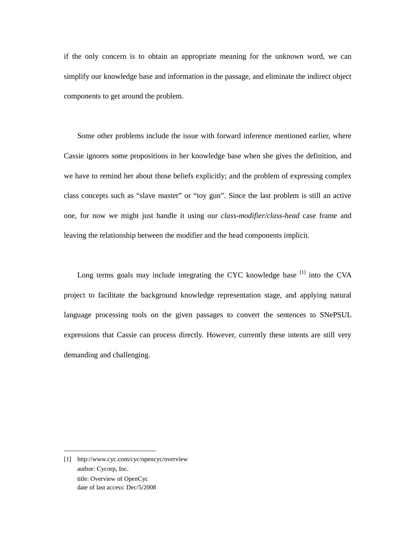if the only concern is to obtain an appropriate meaning for the unknown word, we can simplify our knowledge base and information in the passage, and eliminate the indirect object components to get around the problem.

Some other problems include the issue with forward inference mentioned earlier, where Cassie ignores some propositions in her knowledge base when she gives the definition, and we have to remind her about those beliefs explicitly; and the problem of expressing complex class concepts such as "slave master" or "toy gun". Since the last problem is still an active one, for now we might just handle it using our *class-modifier/class-head* case frame and leaving the relationship between the modifier and the head components implicit.

Long terms goals may include integrating the CYC knowledge base [1] into the CVA project to facilitate the background knowledge representation stage, and applying natural language processing tools on the given passages to convert the sentences to SNePSUL expressions that Cassie can process directly. However, currently these intents are still very demanding and challenging.

-

<sup>[1]</sup> http://www.cyc.com/cyc/opencyc/overview author: Cycorp, Inc. title: Overview of OpenCyc date of last access: Dec/5/2008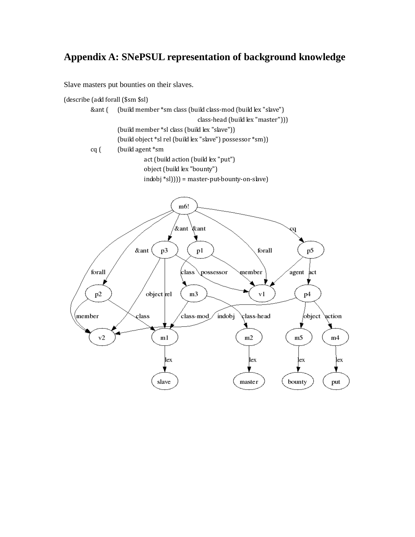# **Appendix A: SNePSUL representation of background knowledge**

Slave masters put bounties on their slaves.

(describe (add forall (\$sm \$sl)



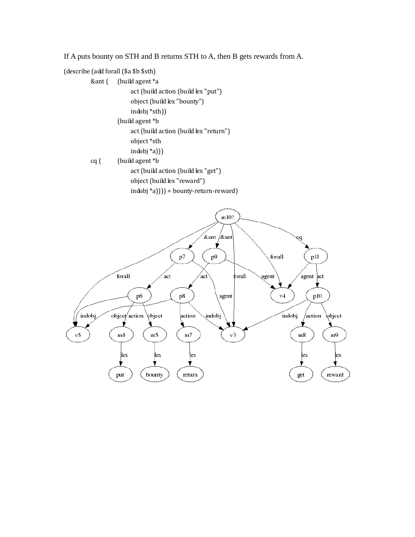If A puts bounty on STH and B returns STH to A, then B gets rewards from A.



 &ant ( (build agent \*a act (build action (build lex "put") object (build lex "bounty") indobj \*sth)) (build agent \*b act (build action (build lex "return") object \*sth indobj \*a))) cq ( (build agent \*b

 act (build action (build lex "get") object (build lex "reward")



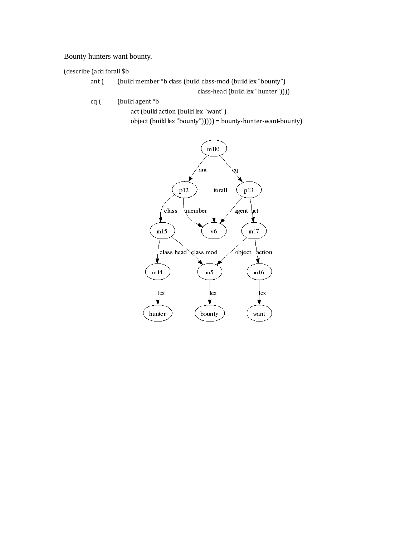#### Bounty hunters want bounty.

#### (describe (add forall \$b

ant ( (build member \*b class (build class-mod (build lex "bounty")

class-head (build lex "hunter"))))

cq ( (build agent \*b

act (build action (build lex "want")

object (build lex "bounty"))))) = bounty-hunter-want-bounty)

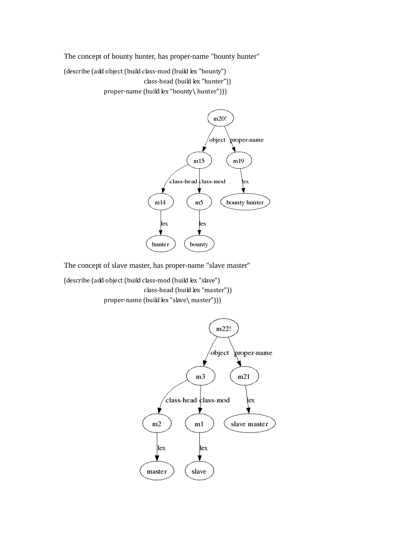The concept of bounty hunter, has proper-name "bounty hunter"

(describe (add object (build class-mod (build lex "bounty")

class-head (build lex "hunter"))

proper-name (build lex "bounty\ hunter")))



The concept of slave master, has proper-name "slave master"

(describe (add object (build class-mod (build lex "slave") class-head (build lex "master")) proper-name (build lex "slave\ master")))

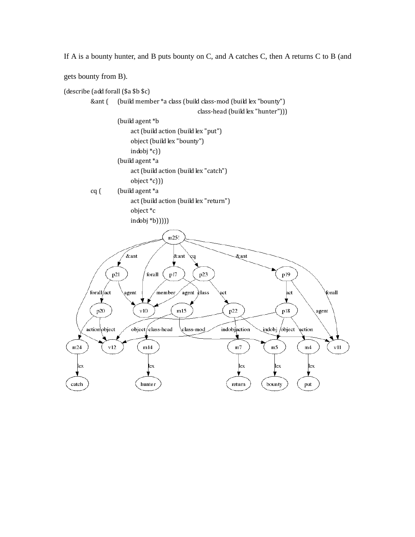If A is a bounty hunter, and B puts bounty on C, and A catches C, then A returns C to B (and

gets bounty from B).

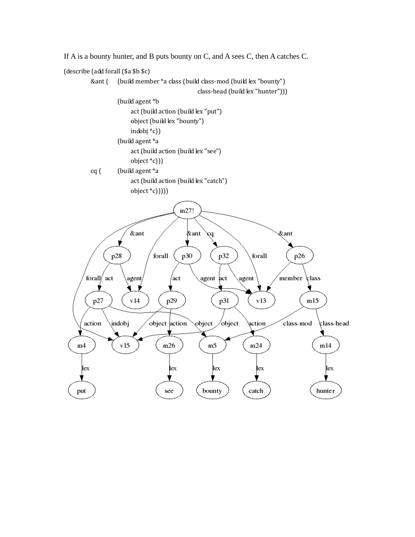

If A is a bounty hunter, and B puts bounty on C, and A sees C, then A catches C.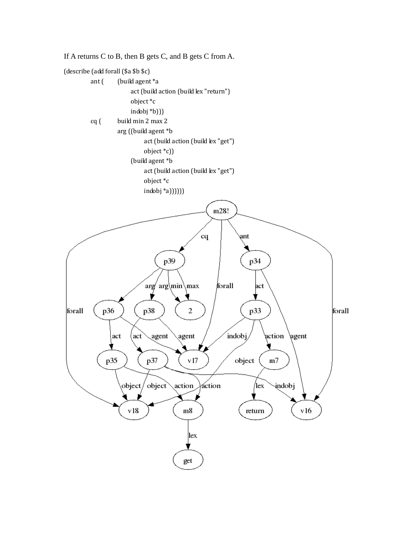

If A returns C to B, then B gets C, and B gets C from A.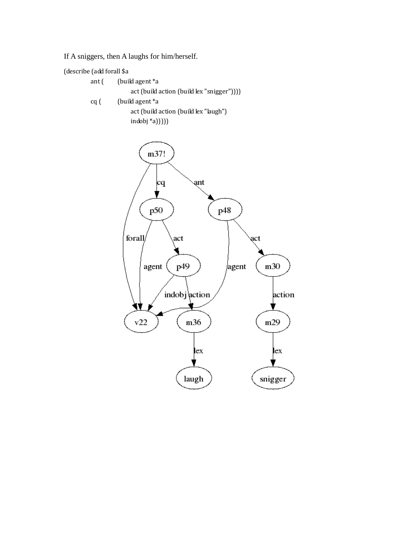If A sniggers, then A laughs for him/herself.

(describe (add forall \$a

|      | ant $\int$ (build agent $a$               |
|------|-------------------------------------------|
|      | act (build action (build lex "snigger"))) |
| cq ( | (build agent *a                           |
|      | act (build action (build lex "laugh")     |
|      | $indobj *a))$                             |

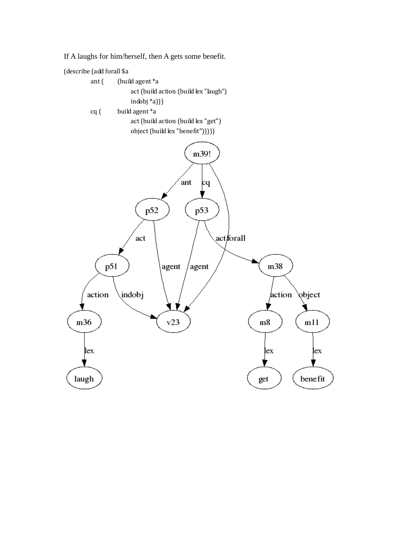If A laughs for him/herself, then A gets some benefit.

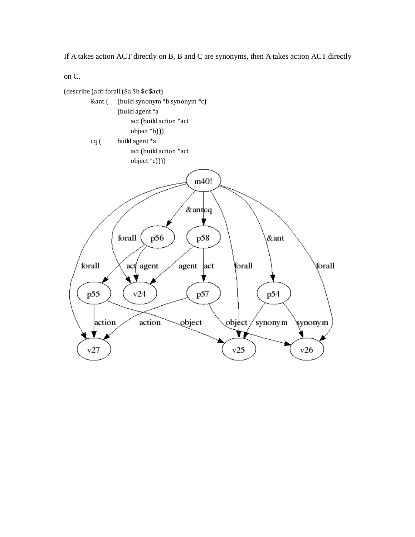If A takes action ACT directly on B, B and C are synonyms, then A takes action ACT directly

on C.

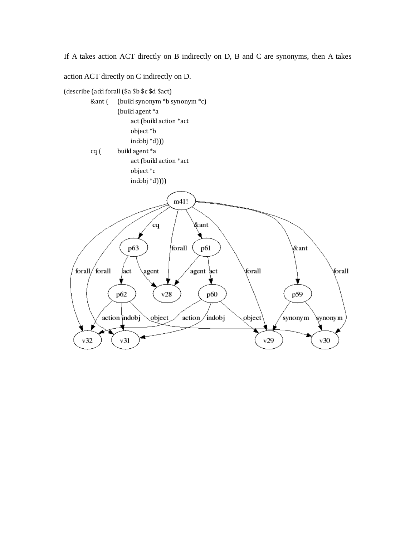If A takes action ACT directly on B indirectly on D, B and C are synonyms, then A takes

action ACT directly on C indirectly on D.

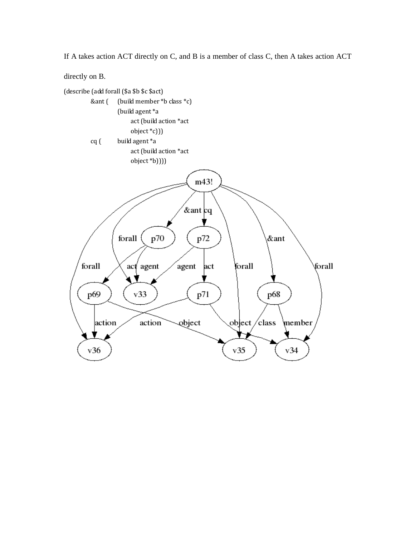If A takes action ACT directly on C, and B is a member of class C, then A takes action ACT

directly on B.

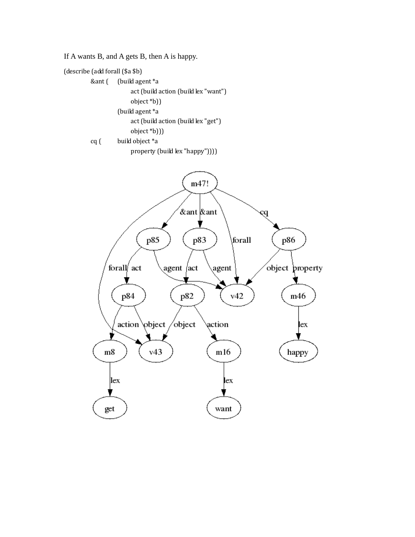If A wants B, and A gets B, then A is happy.

(describe (add forall (\$a \$b)

 &ant ( (build agent \*a act (build action (build lex "want") object \*b)) (build agent \*a act (build action (build lex "get") object \*b)))

```
 cq ( build object *a
```
property (build lex "happy"))))

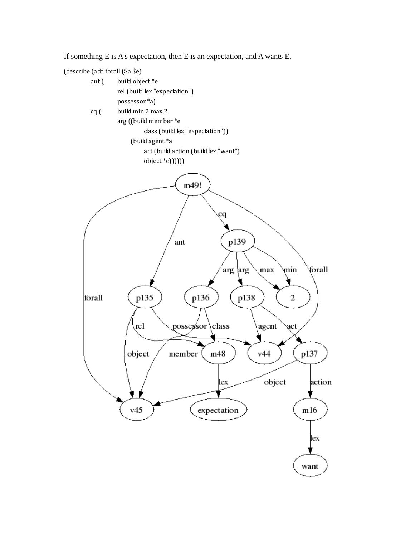If something E is A's expectation, then E is an expectation, and A wants E.

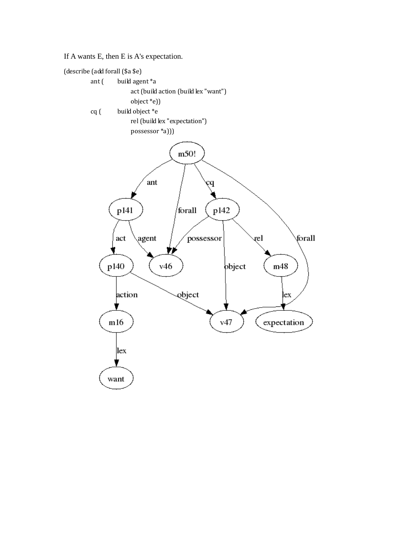If A wants E, then E is A's expectation.

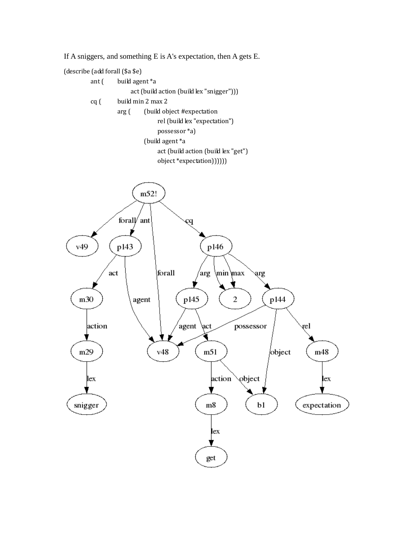If A sniggers, and something E is A's expectation, then A gets E.

(describe (add forall (\$a \$e)



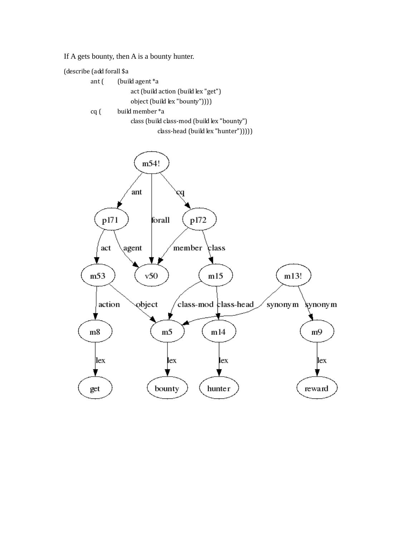If A gets bounty, then A is a bounty hunter.

(describe (add forall \$a

| ant ( | (build agent *a                             |
|-------|---------------------------------------------|
|       | act (build action (build lex "get")         |
|       | object (build lex "bounty")))               |
| cq (  | build member *a                             |
|       | class (build class-mod (build lex "bounty") |
|       | class-head (build lex "hunter"))))          |

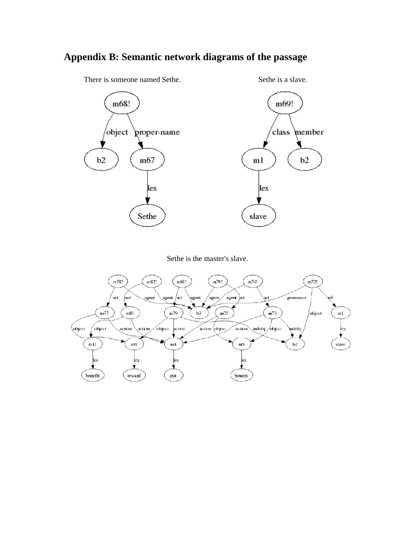# **Appendix B: Semantic network diagrams of the passage**



There is someone named Sethe. Sethe is a slave.

Sethe is the master's slave.

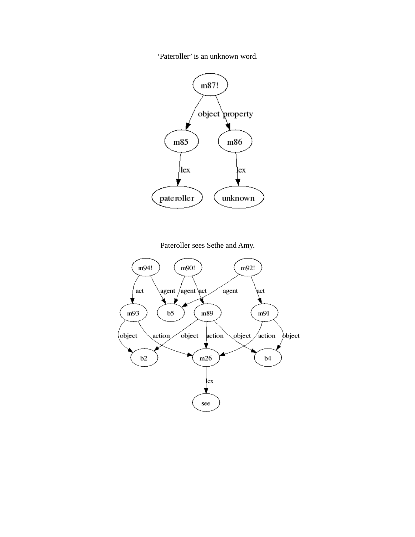'Pateroller' is an unknown word.



Pateroller sees Sethe and Amy.

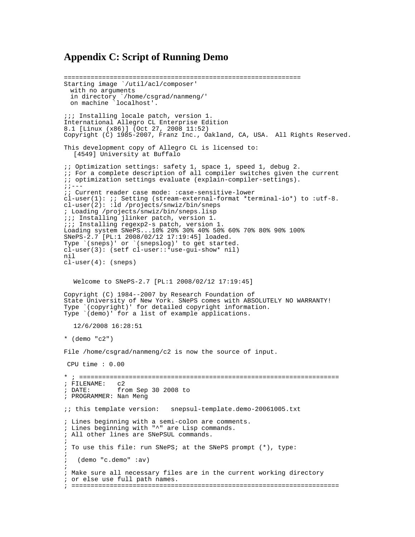# **Appendix C: Script of Running Demo**

============================================================== Starting image `/util/acl/composer' with no arguments in directory `/home/csgrad/nanmeng/' on machine `localhost'. ;;; Installing locale patch, version 1. International Allegro CL Enterprise Edition 8.1 [Linux (x86)] (Oct 27, 2008 11:52) Copyright (C) 1985-2007, Franz Inc., Oakland, CA, USA. All Rights Reserved. This development copy of Allegro CL is licensed to: [4549] University at Buffalo ;; Optimization settings: safety 1, space 1, speed 1, debug 2. ;; For a complete description of all compiler switches given the current ;; optimization settings evaluate (explain-compiler-settings). ;;--- ;; Current reader case mode: :case-sensitive-lower  $cl-user(1):$  ;; Setting (stream-external-format \*terminal-io\*) to :utf-8. cl-user(2): :ld /projects/snwiz/bin/sneps ; Loading /projects/snwiz/bin/sneps.lisp ;;; Installing jlinker patch, version 1. ;;; Installing regexp2-s patch, version 1. Loading system SNePS...10% 20% 30% 40% 50% 60% 70% 80% 90% 100% SNePS-2.7 [PL:1 2008/02/12 17:19:45] loaded. Type `(sneps)' or `(snepslog)' to get started. cl-user(3): (setf cl-user::\*use-gui-show\* nil) nil  $cl-user(4): (sneps)$  Welcome to SNePS-2.7 [PL:1 2008/02/12 17:19:45] Copyright (C) 1984--2007 by Research Foundation of State University of New York. SNePS comes with ABSOLUTELY NO WARRANTY!<br>Type `(copyright)' for detailed copyright information. (copyright)' for detailed copyright information. Type (demo)' for a list of example applications. 12/6/2008 16:28:51 \* (demo "c2") File /home/csgrad/nanmeng/c2 is now the source of input. CPU time : 0.00 \* ; ==================================================================== ; FILENAME:<br>; DATE: from Sep 30 2008 to ; PROGRAMMER: Nan Meng ;; this template version: snepsul-template.demo-20061005.txt ; Lines beginning with a semi-colon are comments. ; Lines beginning with "^" are Lisp commands. ; All other lines are SNePSUL commands. ; ; To use this file: run SNePS; at the SNePS prompt (\*), type: ; ; (demo "c.demo" :av) ; ; Make sure all necessary files are in the current working directory ; or else use full path names. ; ======================================================================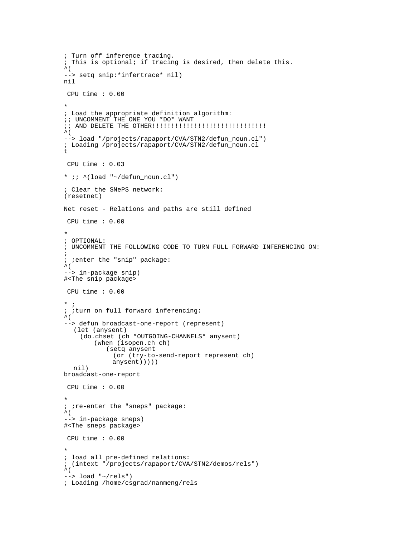```
; Turn off inference tracing. 
; This is optional; if tracing is desired, then delete this. 
\wedge (
--> setq snip:*infertrace* nil) 
nil 
 CPU time : 0.00 
* 
; Load the appropriate definition algorithm: 
;; UNCOMMENT THE ONE YOU *DO* WANT 
;; AND DELETE THE OTHER!!!!!!!!!!!!!!!!!!!!!!!!!!!!!! 
\sim (
--> load "/projects/rapaport/CVA/STN2/defun_noun.cl") 
; Loading /projects/rapaport/CVA/STN2/defun_noun.cl
\ddot{} CPU time : 0.03 
* i : \land (load "~/defun_noun.cl")
; Clear the SNePS network: 
(resetnet) 
Net reset - Relations and paths are still defined 
 CPU time : 0.00 
* 
; OPTIONAL: 
; UNCOMMENT THE FOLLOWING CODE TO TURN FULL FORWARD INFERENCING ON: 
; 
; ;enter the "snip" package: 
\mathcal{L} (
--> in-package snip) 
#<The snip package> 
 CPU time : 0.00 
* ;
; ;turn on full forward inferencing: 
\wedge (
--> defun broadcast-one-report (represent) 
   (let (anysent) 
     (do.chset (ch *OUTGOING-CHANNELS* anysent) 
          (when (isopen.ch ch) 
             (setq anysent 
               (or (try-to-send-report represent ch) 
               anysent))))) 
   nil) 
broadcast-one-report 
 CPU time : 0.00 
* 
; ; re-enter the "sneps" package:
\hat{\mathcal{L}} (
--> in-package sneps) 
#<The sneps package> 
  CPU time : 0.00 
* 
; load all pre-defined relations: 
; (intext "/projects/rapaport/CVA/STN2/demos/rels")
\hat{\mathcal{L}}\leftarrow > load "\sim/rels")
; Loading /home/csgrad/nanmeng/rels
```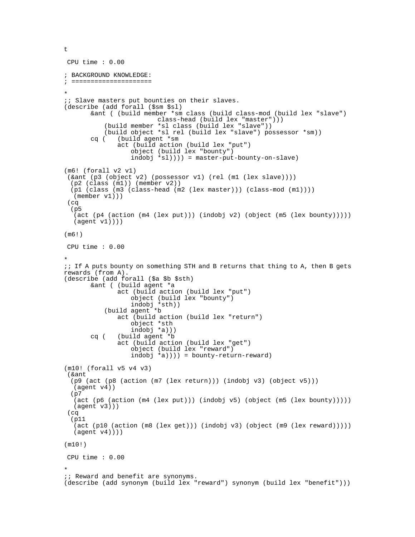```
 CPU time : 0.00 
; BACKGROUND KNOWLEDGE: 
; ===================== 
* 
i; Slave masters put bounties on their slaves.
(describe (add forall ($sm $sl) 
        &ant ( (build member *sm class (build class-mod (build lex "slave") 
                           class-head (build lex "master"))) 
            (build member *sl class (build lex "slave")) 
            (build object *sl rel (build lex "slave") possessor *sm)) 
        cq ( (build agent *sm 
                act (build action (build lex "put") 
                   object (build lex "bounty") 
                   indobj *sl)))) = master-put-bounty-on-slave) 
(m6! (forall v2 v1) 
  (&ant (p3 (object v2) (possessor v1) (rel (m1 (lex slave)))) 
   (p2 (class (m1)) (member v2)) 
   (p1 (class (m3 (class-head (m2 (lex master))) (class-mod (m1)))) 
   (member v1))) 
  (cq 
  (p5 
   (act (p4 (action (m4 (lex put))) (indobj v2) (object (m5 (lex bounty))))) 
  (\text{agent v1})))(m6!) 
 CPU time : 0.00 
* 
;; If A puts bounty on something STH and B returns that thing to A, then B gets 
rewards (from A). 
(describe (add forall ($a $b $sth) 
        &ant ( (build agent *a 
                act (build action (build lex "put") 
                   object (build lex "bounty") 
 indobj *sth)) 
 (build agent *b 
                act (build action (build lex "return") 
                   object *sth 
                   indobj *a))) 
        cq ( (build agent *b 
                act (build action (build lex "get") 
                   object (build lex "reward") 
                  indobi *a))) = bounty-return-reward)
(m10! (forall v5 v4 v3) 
  (&ant 
   (p9 (act (p8 (action (m7 (lex return))) (indobj v3) (object v5))) 
   (agent v4)) 
   (p7 
   (act (p6 (action (m4 (lex put))) (indobj v5) (object (m5 (lex bounty))))) 
   (agent v3))) 
  (cq 
   (p11 
    (act (p10 (action (m8 (lex get))) (indobj v3) (object (m9 (lex reward))))) 
   (agent v4)))) 
(m10!) 
 CPU time : 0.00 
* 
i; Reward and benefit are synonyms.
(describe (add synonym (build lex "reward") synonym (build lex "benefit")))
```

```
\ddot{}
```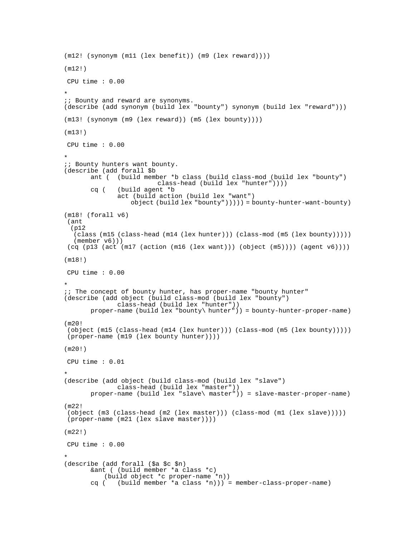```
(m12! (synonym (m11 (lex benefit)) (m9 (lex reward)))) 
(m12!) 
 CPU time : 0.00 
* 
i; Bounty and reward are synonyms.
(describe (add synonym (build lex "bounty") synonym (build lex "reward"))) 
(m13! (synonym (m9 (lex reward)) (m5 (lex bounty)))) 
(m13!) 
 CPU time : 0.00 
* 
\forall i Bounty hunters want bounty.
(describe (add forall $b 
        ant ( (build member *b class (build class-mod (build lex "bounty") 
       class-head (build lex "hunter"))))<br>cq ( (build agent *b
              ( build agent *b
               act (build action (build lex "want") 
                   object (build lex "bounty"))))) = bounty-hunter-want-bounty) 
(m18! (forall v6) 
 (ant 
  (p12 
   (class (m15 (class-head (m14 (lex hunter))) (class-mod (m5 (lex bounty))))) 
   (member v6))) 
(cq (p13 (act (m17 (action (m16 (lex want))) (object (m5)))) (agent v(6))))
(m18!) 
 CPU time : 0.00 
* 
;; The concept of bounty hunter, has proper-name "bounty hunter" 
(describe (add object (build class-mod (build lex "bounty") 
 class-head (build lex "hunter")) 
 proper-name (build lex "bounty\ hunter")) = bounty-hunter-proper-name) 
(m20)! (object (m15 (class-head (m14 (lex hunter))) (class-mod (m5 (lex bounty))))) 
 (proper-name (m19 (lex bounty hunter)))) 
(m20!) 
 CPU time : 0.01 
* 
(describe (add object (build class-mod (build lex "slave") 
               class-head (build lex "master")) 
        proper-name (build lex "slave\ master")) = slave-master-proper-name) 
(m22! 
 (object (m3 (class-head (m2 (lex master))) (class-mod (m1 (lex slave))))) 
 (proper-name (m21 (lex slave master)))) 
(m22!) 
 CPU time : 0.00 
* 
(describe (add forall ($a $c $n) 
        &ant ( (build member *a class *c) 
           (build object *c proper-name *n)) 
        cq ( (build member *a class *n))) = member-class-proper-name)
```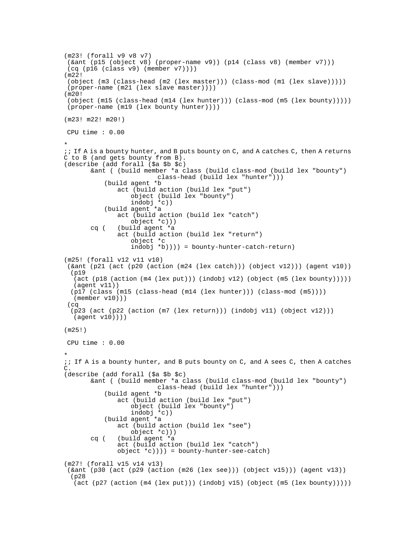```
(m23! (forall v9 v8 v7) 
  (&ant (p15 (object v8) (proper-name v9)) (p14 (class v8) (member v7))) 
  (cq (p16 (class v9) (member v7)))) 
(m22! 
  (object (m3 (class-head (m2 (lex master))) (class-mod (m1 (lex slave))))) 
  (proper-name (m21 (lex slave master)))) 
(m20! 
  (object (m15 (class-head (m14 (lex hunter))) (class-mod (m5 (lex bounty))))) 
  (proper-name (m19 (lex bounty hunter)))) 
(m23! m22! m20!) 
 CPU time : 0.00 
* 
;; If A is a bounty hunter, and B puts bounty on C, and A catches C, then A returns 
C to B (and gets bounty from B). 
(describe (add forall ($a $b $c) 
        &ant ( (build member *a class (build class-mod (build lex "bounty") 
                           class-head (build lex "hunter"))) 
            (build agent *b 
                act (build action (build lex "put") 
                    object (build lex "bounty") 
                    indobj *c)) 
            (build agent *a 
                act (build action (build lex "catch") 
                    object *c))) 
        cq ( (build agent *a 
                act (build action (build lex "return") 
                    object *c 
                    indobj *b)))) = bounty-hunter-catch-return) 
(m25! (forall v12 v11 v10) 
  (&ant (p21 (act (p20 (action (m24 (lex catch))) (object v12))) (agent v10)) 
   (p19 
    (act (p18 (action (m4 (lex put))) (indobj v12) (object (m5 (lex bounty))))) 
   (agent v11)) 
  (p17 (class (m15 (class-head (m14 (lex hunter))) (class-mod (m5))))
    (member v10))) 
  (cq 
   (p23 (act (p22 (action (m7 (lex return))) (indobj v11) (object v12))) 
   (agent v10)))) 
(m25!) 
 CPU time : 0.00 
* 
;; If A is a bounty hunter, and B puts bounty on C, and A sees C, then A catches 
\mathcal{C}.
(describe (add forall ($a $b $c) 
        &ant ( (build member *a class (build class-mod (build lex "bounty") 
                           class-head (build lex "hunter"))) 
            (build agent *b 
                act (build action (build lex "put") 
                    object (build lex "bounty") 
                    indobj *c)) 
            (build agent *a 
                act (build action (build lex "see") 
                    object *c))) 
        cq ( (build agent *a 
                act (build action (build lex "catch") 
                object *c)))) = bounty-hunter-see-catch) 
(m27! (forall v15 v14 v13) 
  (&ant (p30 (act (p29 (action (m26 (lex see))) (object v15))) (agent v13)) 
   (p28 
   (act (p27 (action (m4 (lex put))) (indobj v15) (object (m5 (lex bounty)))))
```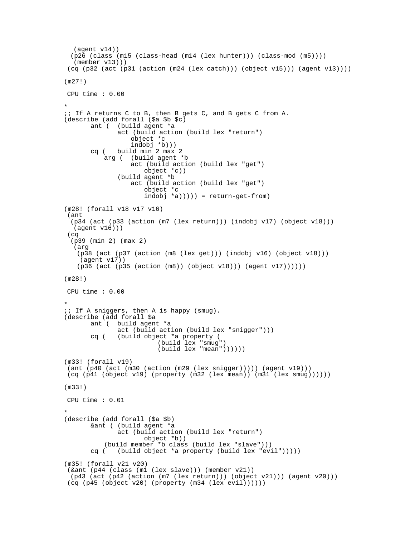```
 (agent v14)) 
  (p26 (class (m15 (class-head (m14 (lex hunter))) (class-mod (m5)))) 
   (member v13))) 
 (cq (p32 (act (p31 (action (m24 (lex catch))) (object v15))) (agent v13)))) 
(m27!) 
 CPU time : 0.00 
* 
;; If A returns C to B, then B gets C, and B gets C from A. 
(describe (add forall ($a $b $c) 
        ant ( (build agent *a 
               act (build action (build lex "return") 
 object *c 
 indobj *b))) 
        cq ( build min 2 max 2 
            arg ( (build agent *b 
                   act (build action (build lex "get") 
                       object *c)) 
               (build agent *b 
                   act (build action (build lex "get") 
                       object *c 
                      indobj *a))))) = return-get-from)
(m28! (forall v18 v17 v16) 
 (ant 
  (p34 (act (p33 (action (m7 (lex return))) (indobj v17) (object v18))) 
   (agent v16))) 
 (cq 
  (p39 (min 2) (max 2) 
   (arg 
    (p38 (act (p37 (action (m8 (lex get))) (indobj v16) (object v18))) 
     (agent v17)) 
    (p36 (act (p35 (action (m8)) (object v18))) (agent v17)))))) 
(m28!) 
 CPU time : 0.00 
* 
;; If A sniggers, then A is happy (smug). 
(describe (add forall $a 
        ant ( build agent *a 
               act (build action (build lex "snigger"))) 
        cq ( (build object *a property ( 
                           (build lex "smug") 
                          (build lex "mean")))))
(m33! (forall v19) 
 (ant (p40 (act (m30 (action (m29 (lex snigger))))) (agent v19))) 
 (cq (p41 (object v19) (property (m32 (lex mean)) (m31 (lex smug)))))) 
(m33!) 
 CPU time : 0.01 
* 
(describe (add forall ($a $b) 
        &ant ( (build agent *a 
               act (build action (build lex "return") 
                       object *b)) 
            (build member *b class (build lex "slave"))) 
        cq ( (build object *a property (build lex "evil"))))) 
(m35! (forall v21 v20) 
 (&ant (p44 (class (m1 (lex slave))) (member v21)) 
  (p43 (act (p42 (action (m7 (lex return))) (object v21))) (agent v20))) 
 (cq (p45 (object v20) (property (m34 (lex evil))))))
```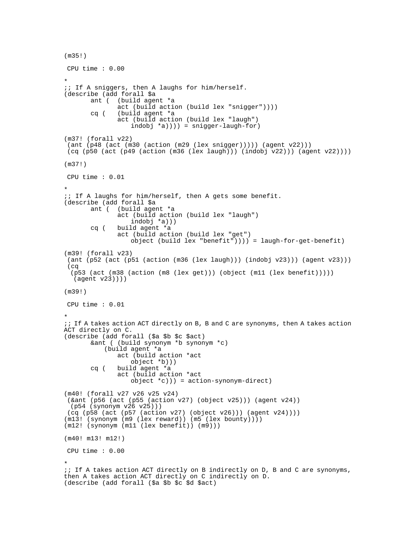```
(m35!) 
 CPU time : 0.00 
* 
;; If A sniggers, then A laughs for him/herself. 
(describe (add forall $a 
        ant ( (build agent *a 
                act (build action (build lex "snigger")))) 
        cq ( (build agent *a 
                act (build action (build lex "laugh") 
                    indobj *a)))) = snigger-laugh-for) 
(m37! (forall v22) 
 (\text{ant } (p48 \text{ (act } (m30 \text{ (action } (m29 \text{ (lex } snigger)))))) (agent v22)))
  (cq (p50 (act (p49 (action (m36 (lex laugh))) (indobj v22))) (agent v22)))) 
(m37!) 
 CPU time : 0.01 
* 
;; If A laughs for him/herself, then A gets some benefit. 
(describe (add forall $a<br>ant ( (build ager
              (build agent *a
                act (build action (build lex "laugh") 
                    indobj *a))) 
        cq ( build agent *a 
                act (build action (build lex "get") 
                    object (build lex "benefit")))) = laugh-for-get-benefit) 
(m39! (forall v23) 
 (ant (p52 (act (p51 (action (m36 \text{ (lex laugh)})) (indobj v23))) (agent v23)))
  (cq 
   (p53 (act (m38 (action (m8 (lex get))) (object (m11 (lex benefit))))) 
   (agent v23)))) 
(m39!) 
 CPU time : 0.01 
* 
;; If A takes action ACT directly on B, B and C are synonyms, then A takes action 
ACT directly on C. 
(describe (add forall ($a $b $c $act) 
        &ant ( (build synonym *b synonym *c) 
            (build agent *a 
                act (build action *act 
                    object *b))) 
        cq ( build agent *a 
                act (build action *act 
                    object *c))) = action-synonym-direct) 
(m40! (forall v27 v26 v25 v24) 
  (&ant (p56 (act (p55 (action v27) (object v25))) (agent v24)) 
   (p54 (synonym v26 v25))) 
  (cq (p58 (act (p57 (action v27) (object v26))) (agent v24)))) 
(m13! (synonym (m9 (lex reward)) (m5 (lex bounty)))) 
(m12! (synonym (m11 (lex benefit)) (m9))) 
(m40! m13! m12!) 
 CPU time : 0.00 
* 
;; If A takes action ACT directly on B indirectly on D, B and C are synonyms, 
then A takes action ACT directly on C indirectly on D. 
(describe (add forall ($a $b $c $d $act)
```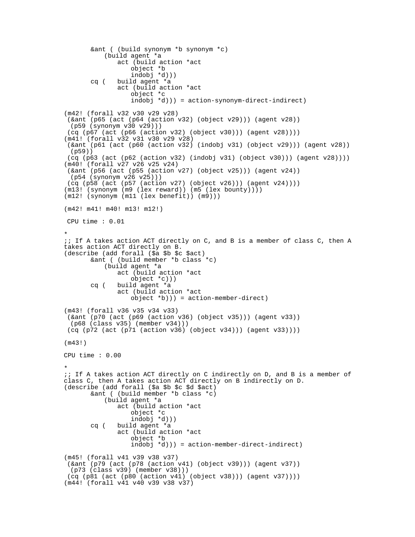```
 &ant ( (build synonym *b synonym *c) 
            (build agent *a 
                act (build action *act 
                   object *b 
                    indobj *d))) 
        cq ( build agent *a 
                act (build action *act 
                   object *c 
                   indobj *d))) = action-synonym-direct-indirect)
(m42! (forall v32 v30 v29 v28) 
  (&ant (p65 (act (p64 (action v32) (object v29))) (agent v28)) 
   (p59 (synonym v30 v29))) 
  (cq (p67 (act (p66 (action v32) (object v30))) (agent v28)))) 
(m41! (forall v32 v31 v30 v29 v28) 
  (&ant (p61 (act (p60 (action v32) (indobj v31) (object v29))) (agent v28)) 
   (p59)) 
  (cq (p63 (act (p62 (action v32) (indobj v31) (object v30))) (agent v28)))) 
(m40! (forall v27 v26 v25 v24) 
  (&ant (p56 (act (p55 (action v27) (object v25))) (agent v24)) 
  (p54 (synonym v26 v25))) 
  (cq (p58 (act (p57 (action v27) (object v26))) (agent v24)))) 
(m13! (synonym (m9 (lex reward)) (m5 (lex bounty)))) 
(m12! (synonym (m11 (lex benefit)) (m9))) 
(m42! m41! m40! m13! m12!) 
 CPU time : 0.01 
* 
;; If A takes action ACT directly on C, and B is a member of class C, then A 
takes action ACT directly on B. 
(describe (add forall ($a $b $c $act) 
        &ant ( (build member *b class *c) 
            (build agent *a 
                act (build action *act 
                   object *c))) 
        cq ( build agent *a 
               act (build action *act 
                   object *b))) = action-member-direct) 
(m43! (forall v36 v35 v34 v33) 
  (&ant (p70 (act (p69 (action v36) (object v35))) (agent v33)) 
   (p68 (class v35) (member v34))) 
  (cq (p72 (act (p71 (action v36) (object v34))) (agent v33)))) 
(m43!) 
CPU time : 0.00 
* 
;; If A takes action ACT directly on C indirectly on D, and B is a member of 
class C, then A takes action ACT directly on B indirectly on D. 
(describe (add forall ($a $b $c $d $act) 
        &ant ( (build member *b class *c) 
            (build agent *a 
                act (build action *act 
                   object *c 
                  indobi *d)) cq ( build agent *a 
                act (build action *act 
                   object *b 
                   indobj *d))) = action-member-direct-indirect) 
(m45! (forall v41 v39 v38 v37) 
  (&ant (p79 (act (p78 (action v41) (object v39))) (agent v37)) 
  (p73 (class v39) (member v38))) 
  (cq (p81 (act (p80 (action v41) (object v38))) (agent v37)))) 
(m44! (forall v41 v40 v39 v38 v37)
```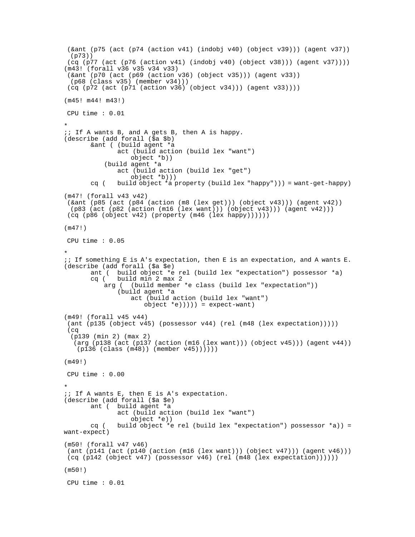```
(\text{6ant } (p75 \text{ (act } (p74 \text{ (action } v41) \text{ (indobi } v40) \text{ (object } v39)))) (agent v37))
  (p73)) 
 (cq (p77 (act (p76 (action v41) (indobj v40) (object v38))) (agent v37))))
(m43! (forall v36 v35 v34 v33) 
  (&ant (p70 (act (p69 (action v36) (object v35))) (agent v33)) 
   (p68 (class v35) (member v34))) 
  (cq (p72 (act (p71 (action v36) (object v34))) (agent v33)))) 
(m45! m44! m43!) 
 CPU time : 0.01 
* 
\forall i If A wants B, and A gets B, then A is happy.
(describe (add forall ($a $b) 
        &ant ( (build agent *a 
                act (build action (build lex "want") 
                   object *b)) 
            (build agent *a 
                act (build action (build lex "get") 
                    object *b))) 
        cq ( build object *a property (build lex "happy"))) = want-get-happy) 
(m47! (forall v43 v42) 
  (&ant (p85 (act (p84 (action (m8 (lex get))) (object v43))) (agent v42)) 
  (p83 (act (p82 (action (m16 (lex want))) (object v43))) (agent v42))) 
  (cq (p86 (object v42) (property (m46 (lex happy)))))) 
(m47!) 
 CPU time : 0.05 
* 
;; If something E is A's expectation, then E is an expectation, and A wants E. 
(describe (add forall ($a $e) 
        ant ( build object *e rel (build lex "expectation") possessor *a) 
        cq ( build min 2 max 2 
            arg ( (build member *e class (build lex "expectation")) 
                (build agent *a 
                    act (build action (build lex "want") 
                       object *e)))) = expect-vant)(m49! (forall v45 v44) 
  (ant (p135 (object v45) (possessor v44) (rel (m48 (lex expectation))))) 
  (cq 
   (p139 (min 2) (max 2) 
  \overline{(arg (p138 (act (p137 (action (m16 (lex want)))) (object v45)))) (agent v44))) (p136 (class (m48)) (member v45)))))) 
(m49!) 
 CPU time : 0.00 
* 
;; If A wants E, then E is A's expectation. 
(describe (add forall ($a $e) 
        ant ( build agent *a 
                act (build action (build lex "want") 
                    object *e)) 
       cq ( build object *e rel (build lex "expectation") possessor *a)) =
want-expect) 
(m50! (forall v47 v46) 
  (ant (p141 (act (p140 (action (m16 (lex want))) (object v47))) (agent v46))) 
  (cq (p142 (object v47) (possessor v46) (rel (m48 (lex expectation)))))) 
(m50!) 
 CPU time : 0.01
```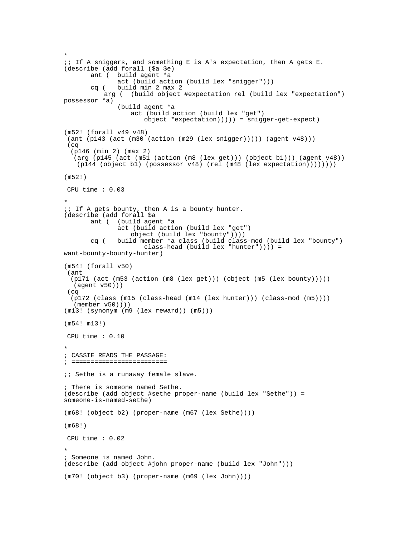```
* 
;; If A sniggers, and something E is A's expectation, then A gets E. 
(describe (add forall ($a $e) 
        ant ( build agent *a 
                act (build action (build lex "snigger"))) 
        cq ( build min 2 max 2 
            arg ( (build object #expectation rel (build lex "expectation") 
possessor *a) 
                (build agent *a 
                   act (build action (build lex "get") 
                       object *expectation))))) = snigger-get-expect) 
(m52! (forall v49 v48) 
 (ant (p143 (act (m30 (action (m29 (lex sniqqer)))) (aqent v48))) (cq 
   (p146 (min 2) (max 2) 
    (arg (p145 (act (m51 (action (m8 (lex get))) (object b1))) (agent v48)) 
    (p144 (object b1) (possessor v48) (rel (m48 (lex expectation)))))))) 
(m52!) 
 CPU time : 0.03 
* 
;; If A gets bounty, then A is a bounty hunter. 
(describe (add forall $a<br>ant ( (build age)
              (build agent *a
                act (build action (build lex "get") 
                  object (build lex "boundary"))))
        cq ( build member *a class (build class-mod (build lex "bounty") 
                       class-head (build lex "hunter")))) = 
want-bounty-bounty-hunter) 
(m54! (forall v50) 
  (ant 
   (p171 (act (m53 (action (m8 (lex get))) (object (m5 (lex bounty))))) 
    (agent v50))) 
  (cq 
   (p172 (class (m15 (class-head (m14 (lex hunter))) (class-mod (m5)))) 
    (member v50)))) 
(m13! (synonym (m9 (lex reward)) (m5))) 
(m54! m13!) 
 CPU time : 0.10 
* 
; CASSIE READS THE PASSAGE: 
; ========================= 
;; Sethe is a runaway female slave. 
; There is someone named Sethe. 
(describe (add object #sethe proper-name (build lex "Sethe")) = 
someone-is-named-sethe) 
(m68! (object b2) (proper-name (m67 (lex Sethe)))) 
(m68!) 
 CPU time : 0.02 
* 
; Someone is named John. 
(describe (add object #john proper-name (build lex "John"))) 
(m70! (object b3) (proper-name (m69 (lex John))))
```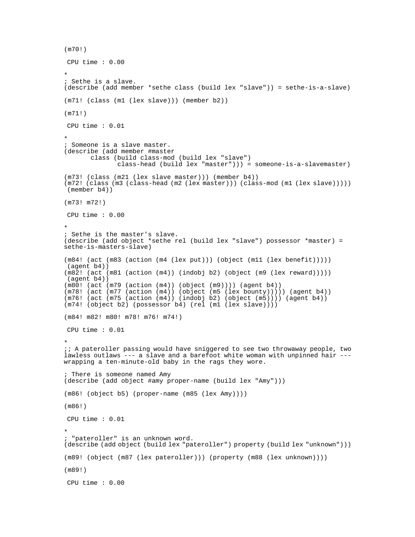```
(m70!) 
 CPU time : 0.00 
* 
; Sethe is a slave. 
(describe (add member *sethe class (build lex "slave")) = sethe-is-a-slave) 
(m71! (class (m1 (lex slave))) (member b2)) 
(m71!) 
 CPU time : 0.01 
* 
; Someone is a slave master. 
(describe (add member #master 
        class (build class-mod (build lex "slave") 
               class-head (build lex "master"))) = someone-is-a-slavemaster) 
(m73! (class (m21 (lex slave master))) (member b4))
(m72! (class (m3 (class-head (m2 (lex master))) (class-mod (m1 (lex slave))))) 
 (member b4)) 
(m73! m72!) 
 CPU time : 0.00 
* 
; Sethe is the master's slave. 
(describe (add object *sethe rel (build lex "slave") possessor *master) = 
sethe-is-masters-slave) 
(m84! (act (m83 (action (m4 (lex put))) (object (m11 (lex benefit))))) 
 (agent b4)) 
(m82! (act (m81 (action (m4)) (indobj b2) (object (m9 (lex reward))))) 
 (agent b4)) 
(m80! (act (m79 (action (m4)) (object (m9)))) (agent b4)) 
(m78! (act (m77 (action (m4)) (object (m5 (lex bounty))))) (agent b4)) 
(m76! (act (m75 (action (m4)) (indobj b2) (object (m5)))) (agent b4)) 
(m74! (object b2) (possessor b4) (rel (m1 (lex slave)))) 
(m84! m82! m80! m78! m76! m74!) 
 CPU time : 0.01 
* 
;; A pateroller passing would have sniggered to see two throwaway people, two 
lawless outlaws --- a slave and a barefoot white woman with unpinned hair --- 
wrapping a ten-minute-old baby in the rags they wore. 
; There is someone named Amy 
(describe (add object #amy proper-name (build lex "Amy"))) 
(m86! (object b5) (proper-name (m85 (lex Amy)))) 
(m86!) 
 CPU time : 0.01 
* 
; "pateroller" is an unknown word. 
(describe (add object (build lex "pateroller") property (build lex "unknown"))) 
(m89! (object (m87 (lex pateroller))) (property (m88 (lex unknown)))) 
(m89!) 
 CPU time : 0.00
```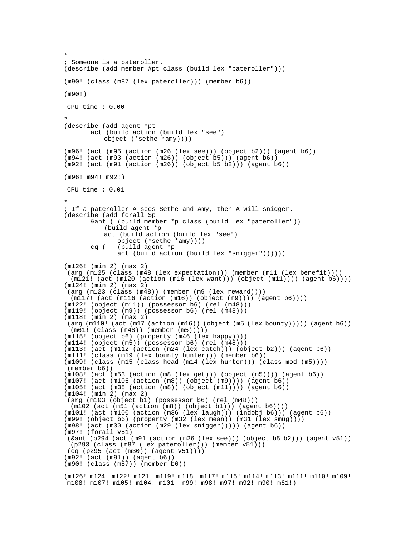```
* 
; Someone is a pateroller. 
(describe (add member #pt class (build lex "pateroller"))) 
(m90! (class (m87 (lex pateroller))) (member b6)) 
(m90!) 
 CPU time : 0.00 
* 
(describe (add agent *pt 
        act (build action (build lex "see") 
           object (*sethe *amy)))) 
(m96! (act (m95 (action (m26 (lex see))) (object b2))) (agent b6)) 
(m94! (act (m93 (action (m26)) (object b5))) (agent b6)) 
(m92! (act (m91 (action (m26)) (object b5 b2))) (agent b6)) 
(m96! m94! m92!) 
 CPU time : 0.01 
* 
; If a pateroller A sees Sethe and Amy, then A will snigger. 
(describe (add forall $p 
        &ant ( (build member *p class (build lex "pateroller")) 
           (build agent *p 
           act (build action (build lex "see") 
               object (*sethe *amy)))) 
        cq ( (build agent *p 
               act (build action (build lex "snigger")))))) 
(m126! (min 2) (max 2) 
 (arg (m125 (class (m48 (lex expectation))) (member (m11 (lex benefit)))) 
  (m121! (act (m120 (action (m16 (lex want))) (object (m11)))) (agent b6)))) 
(m124! (min 2) (max 2) 
 (arg (m123 (class (m48)) (member (m9 (lex reward)))) 
  (m117! (act (m116 (action (m16)) (object (m9)))) (agent b6)))) 
(m122! (object (m11)) (possessor b6) (rel (m48))) 
(m119! (object (m9)) (possessor b6) (rel (m48))) 
(m118! (min 2) (max 2) 
 (arg (m110! (act (m17 (action (m16)) (object (m5 (lex bounty))))) (agent b6)) 
  (m61! (class (m48)) (member (m5))))) 
(m115! (object b6) (property (m46 (lex happy)))) 
(m114! (object (m5)) (possessor b6) (rel (m48))) 
(m113! (act (m112 (action (m24 (lex catch))) (object b2))) (agent b6)) 
(m111! (class (m19 (lex bounty hunter))) (member b6)) 
(m109! (class (m15 (class-head (m14 (lex hunter))) (class-mod (m5)))) 
 (member b6)) 
(m108! (act (m53 (action (m8 (lex get))) (object (m5)))) (agent b6)) 
(m107! (act (m106 (action (m8)) (object (m9)))) (agent b6)) 
(m105! (act (m38 (action (m8)) (object (m11)))) (agent b6)) 
(m104! (min 2) (max 2) 
 (arg (m103 (object b1) (possessor b6) (rel (m48)))
  (m102 (act (m51 (action (m8)) (object b1))) (agent b6)))) 
(m101! (act (m100 (action (m36 (lex laugh))) (indobj b6))) (agent b6)) 
(m99! (object b6) (property (m32 (lex mean)) (m31 (lex smug)))) 
(m98! (act (m30 (action (m29 (lex snigger))))) (agent b6)) 
(m97! (forall v51) 
 (&ant (p294 (act (m91 (action (m26 (lex see))) (object b5 b2))) (agent v51)) 
  (p293 (class (m87 (lex pateroller))) (member v51))) 
 (cq (p295 (act (m30)) (agent v51)))) 
(m92! (act (m91)) (agent b6)) 
(m90! (class (m87)) (member b6)) 
(m126! m124! m122! m121! m119! m118! m117! m115! m114! m113! m111! m110! m109! 
 m108! m107! m105! m104! m101! m99! m98! m97! m92! m90! m61!)
```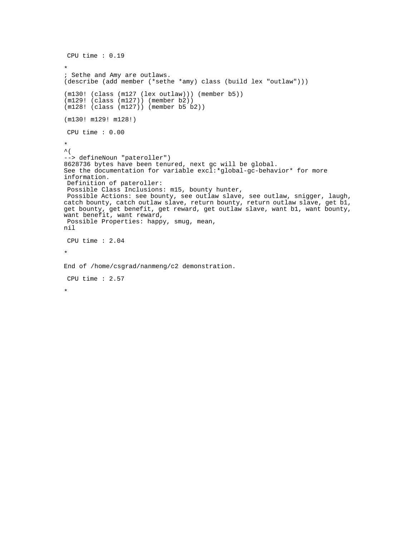```
 CPU time : 0.19 
* 
; Sethe and Amy are outlaws. 
(describe (add member (*sethe *amy) class (build lex "outlaw"))) 
(m130! (class (m127 (lex outlaw))) (member b5)) 
(m129! (class (m127)) (member b2)) 
(m128! (class (m127)) (member b5 b2)) 
(m130! m129! m128!) 
 CPU time : 0.00 
* 
\hat{\mathcal{L}}--> defineNoun "pateroller") 
8628736 bytes have been tenured, next gc will be global. 
See the documentation for variable excl:*global-gc-behavior* for more 
information. 
 Definition of pateroller: 
 Possible Class Inclusions: m15, bounty hunter, 
 Possible Actions: see bounty, see outlaw slave, see outlaw, snigger, laugh, 
catch bounty, catch outlaw slave, return bounty, return outlaw slave, get b1, 
get bounty, get benefit, get reward, get outlaw slave, want bl, want bounty,
want benefit, want reward, 
 Possible Properties: happy, smug, mean, 
nil 
 CPU time : 2.04 
* 
End of /home/csgrad/nanmeng/c2 demonstration. 
 CPU time : 2.57 
*
```